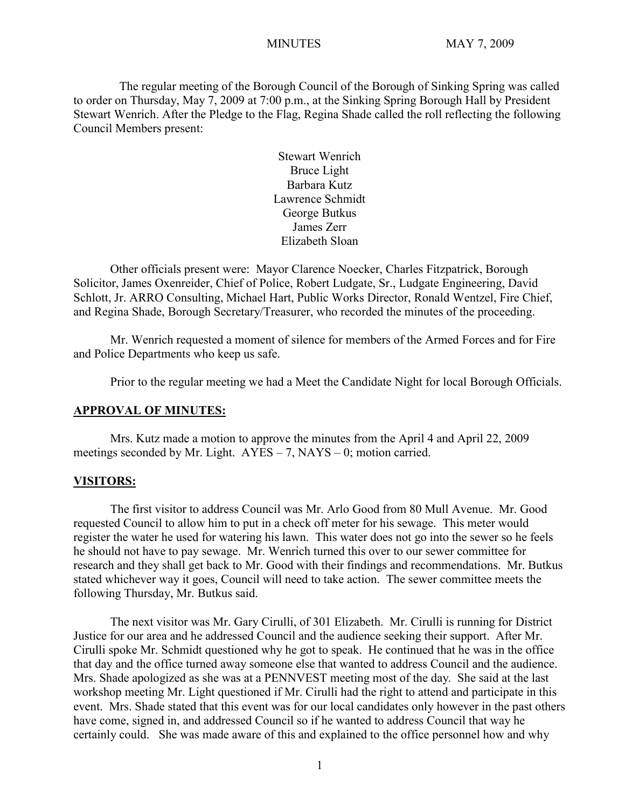The regular meeting of the Borough Council of the Borough of Sinking Spring was called to order on Thursday, May 7, 2009 at 7:00 p.m., at the Sinking Spring Borough Hall by President Stewart Wenrich. After the Pledge to the Flag, Regina Shade called the roll reflecting the following Council Members present:

> Stewart Wenrich Bruce Light Barbara Kutz Lawrence Schmidt George Butkus James Zerr Elizabeth Sloan

Other officials present were: Mayor Clarence Noecker, Charles Fitzpatrick, Borough Solicitor, James Oxenreider, Chief of Police, Robert Ludgate, Sr., Ludgate Engineering, David Schlott, Jr. ARRO Consulting, Michael Hart, Public Works Director, Ronald Wentzel, Fire Chief, and Regina Shade, Borough Secretary/Treasurer, who recorded the minutes of the proceeding.

Mr. Wenrich requested a moment of silence for members of the Armed Forces and for Fire and Police Departments who keep us safe.

Prior to the regular meeting we had a Meet the Candidate Night for local Borough Officials.

#### **APPROVAL OF MINUTES:**

Mrs. Kutz made a motion to approve the minutes from the April 4 and April 22, 2009 meetings seconded by Mr. Light.  $AYES - 7$ ,  $NAYS - 0$ ; motion carried.

#### **VISITORS:**

The first visitor to address Council was Mr. Arlo Good from 80 Mull Avenue. Mr. Good requested Council to allow him to put in a check off meter for his sewage. This meter would register the water he used for watering his lawn. This water does not go into the sewer so he feels he should not have to pay sewage. Mr. Wenrich turned this over to our sewer committee for research and they shall get back to Mr. Good with their findings and recommendations. Mr. Butkus stated whichever way it goes, Council will need to take action. The sewer committee meets the following Thursday, Mr. Butkus said.

The next visitor was Mr. Gary Cirulli, of 301 Elizabeth. Mr. Cirulli is running for District Justice for our area and he addressed Council and the audience seeking their support. After Mr. Cirulli spoke Mr. Schmidt questioned why he got to speak. He continued that he was in the office that day and the office turned away someone else that wanted to address Council and the audience. Mrs. Shade apologized as she was at a PENNVEST meeting most of the day. She said at the last workshop meeting Mr. Light questioned if Mr. Cirulli had the right to attend and participate in this event. Mrs. Shade stated that this event was for our local candidates only however in the past others have come, signed in, and addressed Council so if he wanted to address Council that way he certainly could. She was made aware of this and explained to the office personnel how and why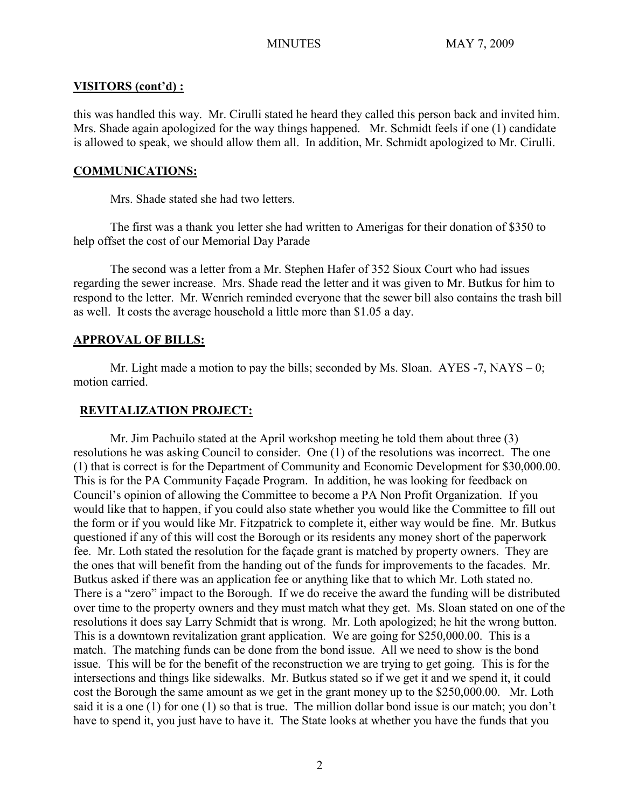# **VISITORS (cont'd) :**

this was handled this way. Mr. Cirulli stated he heard they called this person back and invited him. Mrs. Shade again apologized for the way things happened. Mr. Schmidt feels if one (1) candidate is allowed to speak, we should allow them all. In addition, Mr. Schmidt apologized to Mr. Cirulli.

# **COMMUNICATIONS:**

Mrs. Shade stated she had two letters.

 The first was a thank you letter she had written to Amerigas for their donation of \$350 to help offset the cost of our Memorial Day Parade

The second was a letter from a Mr. Stephen Hafer of 352 Sioux Court who had issues regarding the sewer increase. Mrs. Shade read the letter and it was given to Mr. Butkus for him to respond to the letter. Mr. Wenrich reminded everyone that the sewer bill also contains the trash bill as well. It costs the average household a little more than \$1.05 a day.

# **APPROVAL OF BILLS:**

Mr. Light made a motion to pay the bills; seconded by Ms. Sloan. AYES -7, NAYS – 0; motion carried.

# **REVITALIZATION PROJECT:**

Mr. Jim Pachuilo stated at the April workshop meeting he told them about three (3) resolutions he was asking Council to consider. One (1) of the resolutions was incorrect. The one (1) that is correct is for the Department of Community and Economic Development for \$30,000.00. This is for the PA Community Façade Program. In addition, he was looking for feedback on Council's opinion of allowing the Committee to become a PA Non Profit Organization. If you would like that to happen, if you could also state whether you would like the Committee to fill out the form or if you would like Mr. Fitzpatrick to complete it, either way would be fine. Mr. Butkus questioned if any of this will cost the Borough or its residents any money short of the paperwork fee. Mr. Loth stated the resolution for the façade grant is matched by property owners. They are the ones that will benefit from the handing out of the funds for improvements to the facades. Mr. Butkus asked if there was an application fee or anything like that to which Mr. Loth stated no. There is a "zero" impact to the Borough. If we do receive the award the funding will be distributed over time to the property owners and they must match what they get. Ms. Sloan stated on one of the resolutions it does say Larry Schmidt that is wrong. Mr. Loth apologized; he hit the wrong button. This is a downtown revitalization grant application. We are going for \$250,000.00. This is a match. The matching funds can be done from the bond issue. All we need to show is the bond issue. This will be for the benefit of the reconstruction we are trying to get going. This is for the intersections and things like sidewalks. Mr. Butkus stated so if we get it and we spend it, it could cost the Borough the same amount as we get in the grant money up to the \$250,000.00. Mr. Loth said it is a one (1) for one (1) so that is true. The million dollar bond issue is our match; you don't have to spend it, you just have to have it. The State looks at whether you have the funds that you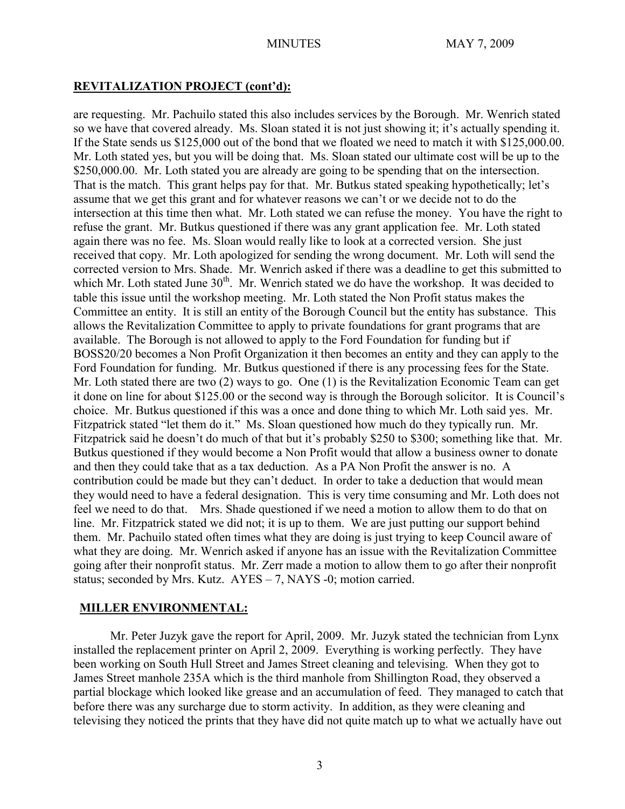# **REVITALIZATION PROJECT (cont'd):**

are requesting. Mr. Pachuilo stated this also includes services by the Borough. Mr. Wenrich stated so we have that covered already. Ms. Sloan stated it is not just showing it; it's actually spending it. If the State sends us \$125,000 out of the bond that we floated we need to match it with \$125,000.00. Mr. Loth stated yes, but you will be doing that. Ms. Sloan stated our ultimate cost will be up to the \$250,000.00. Mr. Loth stated you are already are going to be spending that on the intersection. That is the match. This grant helps pay for that. Mr. Butkus stated speaking hypothetically; let's assume that we get this grant and for whatever reasons we can't or we decide not to do the intersection at this time then what. Mr. Loth stated we can refuse the money. You have the right to refuse the grant. Mr. Butkus questioned if there was any grant application fee. Mr. Loth stated again there was no fee. Ms. Sloan would really like to look at a corrected version. She just received that copy. Mr. Loth apologized for sending the wrong document. Mr. Loth will send the corrected version to Mrs. Shade. Mr. Wenrich asked if there was a deadline to get this submitted to which Mr. Loth stated June  $30<sup>th</sup>$ . Mr. Wenrich stated we do have the workshop. It was decided to table this issue until the workshop meeting. Mr. Loth stated the Non Profit status makes the Committee an entity. It is still an entity of the Borough Council but the entity has substance. This allows the Revitalization Committee to apply to private foundations for grant programs that are available. The Borough is not allowed to apply to the Ford Foundation for funding but if BOSS20/20 becomes a Non Profit Organization it then becomes an entity and they can apply to the Ford Foundation for funding. Mr. Butkus questioned if there is any processing fees for the State. Mr. Loth stated there are two (2) ways to go. One (1) is the Revitalization Economic Team can get it done on line for about \$125.00 or the second way is through the Borough solicitor. It is Council's choice. Mr. Butkus questioned if this was a once and done thing to which Mr. Loth said yes. Mr. Fitzpatrick stated "let them do it." Ms. Sloan questioned how much do they typically run. Mr. Fitzpatrick said he doesn't do much of that but it's probably \$250 to \$300; something like that. Mr. Butkus questioned if they would become a Non Profit would that allow a business owner to donate and then they could take that as a tax deduction. As a PA Non Profit the answer is no. A contribution could be made but they can't deduct. In order to take a deduction that would mean they would need to have a federal designation. This is very time consuming and Mr. Loth does not feel we need to do that. Mrs. Shade questioned if we need a motion to allow them to do that on line. Mr. Fitzpatrick stated we did not; it is up to them. We are just putting our support behind them. Mr. Pachuilo stated often times what they are doing is just trying to keep Council aware of what they are doing. Mr. Wenrich asked if anyone has an issue with the Revitalization Committee going after their nonprofit status. Mr. Zerr made a motion to allow them to go after their nonprofit status; seconded by Mrs. Kutz. AYES – 7, NAYS -0; motion carried.

# **MILLER ENVIRONMENTAL:**

Mr. Peter Juzyk gave the report for April, 2009. Mr. Juzyk stated the technician from Lynx installed the replacement printer on April 2, 2009. Everything is working perfectly. They have been working on South Hull Street and James Street cleaning and televising. When they got to James Street manhole 235A which is the third manhole from Shillington Road, they observed a partial blockage which looked like grease and an accumulation of feed. They managed to catch that before there was any surcharge due to storm activity. In addition, as they were cleaning and televising they noticed the prints that they have did not quite match up to what we actually have out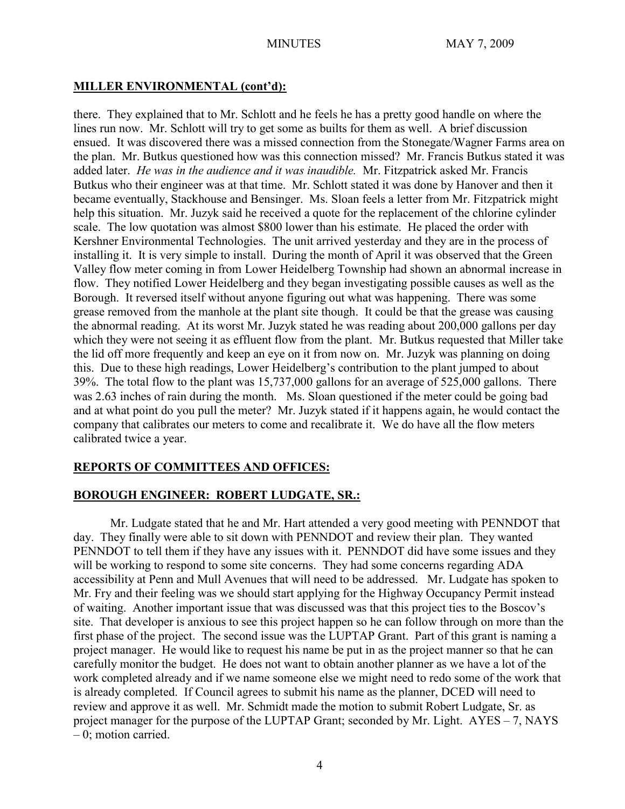# **MILLER ENVIRONMENTAL (cont'd):**

there. They explained that to Mr. Schlott and he feels he has a pretty good handle on where the lines run now. Mr. Schlott will try to get some as builts for them as well. A brief discussion ensued. It was discovered there was a missed connection from the Stonegate/Wagner Farms area on the plan. Mr. Butkus questioned how was this connection missed? Mr. Francis Butkus stated it was added later. *He was in the audience and it was inaudible.* Mr. Fitzpatrick asked Mr. Francis Butkus who their engineer was at that time. Mr. Schlott stated it was done by Hanover and then it became eventually, Stackhouse and Bensinger. Ms. Sloan feels a letter from Mr. Fitzpatrick might help this situation. Mr. Juzyk said he received a quote for the replacement of the chlorine cylinder scale. The low quotation was almost \$800 lower than his estimate. He placed the order with Kershner Environmental Technologies. The unit arrived yesterday and they are in the process of installing it. It is very simple to install. During the month of April it was observed that the Green Valley flow meter coming in from Lower Heidelberg Township had shown an abnormal increase in flow. They notified Lower Heidelberg and they began investigating possible causes as well as the Borough. It reversed itself without anyone figuring out what was happening. There was some grease removed from the manhole at the plant site though. It could be that the grease was causing the abnormal reading. At its worst Mr. Juzyk stated he was reading about 200,000 gallons per day which they were not seeing it as effluent flow from the plant. Mr. Butkus requested that Miller take the lid off more frequently and keep an eye on it from now on. Mr. Juzyk was planning on doing this. Due to these high readings, Lower Heidelberg's contribution to the plant jumped to about 39%. The total flow to the plant was 15,737,000 gallons for an average of 525,000 gallons. There was 2.63 inches of rain during the month. Ms. Sloan questioned if the meter could be going bad and at what point do you pull the meter? Mr. Juzyk stated if it happens again, he would contact the company that calibrates our meters to come and recalibrate it. We do have all the flow meters calibrated twice a year.

# **REPORTS OF COMMITTEES AND OFFICES:**

# **BOROUGH ENGINEER: ROBERT LUDGATE, SR.:**

Mr. Ludgate stated that he and Mr. Hart attended a very good meeting with PENNDOT that day. They finally were able to sit down with PENNDOT and review their plan. They wanted PENNDOT to tell them if they have any issues with it. PENNDOT did have some issues and they will be working to respond to some site concerns. They had some concerns regarding ADA accessibility at Penn and Mull Avenues that will need to be addressed. Mr. Ludgate has spoken to Mr. Fry and their feeling was we should start applying for the Highway Occupancy Permit instead of waiting. Another important issue that was discussed was that this project ties to the Boscov's site. That developer is anxious to see this project happen so he can follow through on more than the first phase of the project. The second issue was the LUPTAP Grant. Part of this grant is naming a project manager. He would like to request his name be put in as the project manner so that he can carefully monitor the budget. He does not want to obtain another planner as we have a lot of the work completed already and if we name someone else we might need to redo some of the work that is already completed. If Council agrees to submit his name as the planner, DCED will need to review and approve it as well. Mr. Schmidt made the motion to submit Robert Ludgate, Sr. as project manager for the purpose of the LUPTAP Grant; seconded by Mr. Light. AYES – 7, NAYS – 0; motion carried.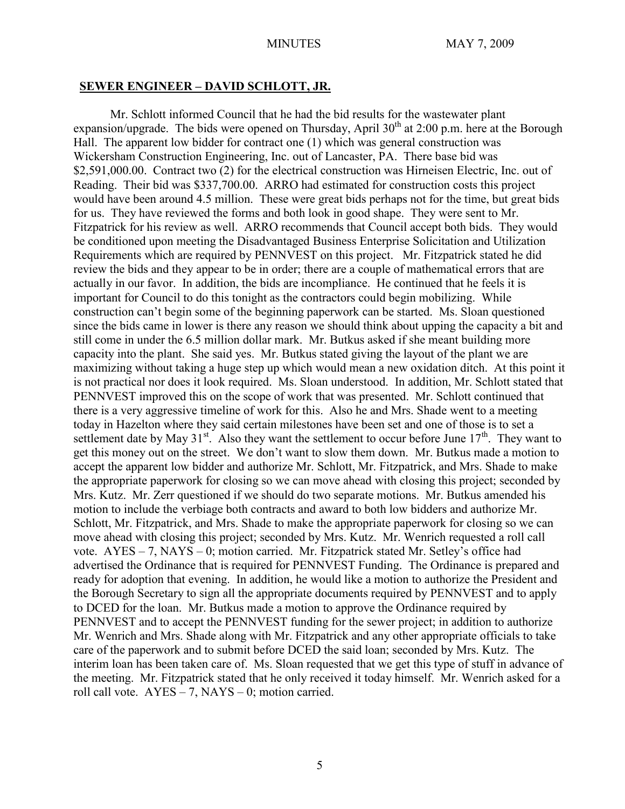#### **SEWER ENGINEER – DAVID SCHLOTT, JR.**

Mr. Schlott informed Council that he had the bid results for the wastewater plant expansion/upgrade. The bids were opened on Thursday, April  $30<sup>th</sup>$  at 2:00 p.m. here at the Borough Hall. The apparent low bidder for contract one (1) which was general construction was Wickersham Construction Engineering, Inc. out of Lancaster, PA. There base bid was \$2,591,000.00. Contract two (2) for the electrical construction was Hirneisen Electric, Inc. out of Reading. Their bid was \$337,700.00. ARRO had estimated for construction costs this project would have been around 4.5 million. These were great bids perhaps not for the time, but great bids for us. They have reviewed the forms and both look in good shape. They were sent to Mr. Fitzpatrick for his review as well. ARRO recommends that Council accept both bids. They would be conditioned upon meeting the Disadvantaged Business Enterprise Solicitation and Utilization Requirements which are required by PENNVEST on this project. Mr. Fitzpatrick stated he did review the bids and they appear to be in order; there are a couple of mathematical errors that are actually in our favor. In addition, the bids are incompliance. He continued that he feels it is important for Council to do this tonight as the contractors could begin mobilizing. While construction can't begin some of the beginning paperwork can be started. Ms. Sloan questioned since the bids came in lower is there any reason we should think about upping the capacity a bit and still come in under the 6.5 million dollar mark. Mr. Butkus asked if she meant building more capacity into the plant. She said yes. Mr. Butkus stated giving the layout of the plant we are maximizing without taking a huge step up which would mean a new oxidation ditch. At this point it is not practical nor does it look required. Ms. Sloan understood. In addition, Mr. Schlott stated that PENNVEST improved this on the scope of work that was presented. Mr. Schlott continued that there is a very aggressive timeline of work for this. Also he and Mrs. Shade went to a meeting today in Hazelton where they said certain milestones have been set and one of those is to set a settlement date by May  $31^{st}$ . Also they want the settlement to occur before June  $17^{th}$ . They want to get this money out on the street. We don't want to slow them down. Mr. Butkus made a motion to accept the apparent low bidder and authorize Mr. Schlott, Mr. Fitzpatrick, and Mrs. Shade to make the appropriate paperwork for closing so we can move ahead with closing this project; seconded by Mrs. Kutz. Mr. Zerr questioned if we should do two separate motions. Mr. Butkus amended his motion to include the verbiage both contracts and award to both low bidders and authorize Mr. Schlott, Mr. Fitzpatrick, and Mrs. Shade to make the appropriate paperwork for closing so we can move ahead with closing this project; seconded by Mrs. Kutz. Mr. Wenrich requested a roll call vote. AYES – 7, NAYS – 0; motion carried. Mr. Fitzpatrick stated Mr. Setley's office had advertised the Ordinance that is required for PENNVEST Funding. The Ordinance is prepared and ready for adoption that evening. In addition, he would like a motion to authorize the President and the Borough Secretary to sign all the appropriate documents required by PENNVEST and to apply to DCED for the loan. Mr. Butkus made a motion to approve the Ordinance required by PENNVEST and to accept the PENNVEST funding for the sewer project; in addition to authorize Mr. Wenrich and Mrs. Shade along with Mr. Fitzpatrick and any other appropriate officials to take care of the paperwork and to submit before DCED the said loan; seconded by Mrs. Kutz. The interim loan has been taken care of. Ms. Sloan requested that we get this type of stuff in advance of the meeting. Mr. Fitzpatrick stated that he only received it today himself. Mr. Wenrich asked for a roll call vote.  $AYES - 7$ ,  $NAYS - 0$ ; motion carried.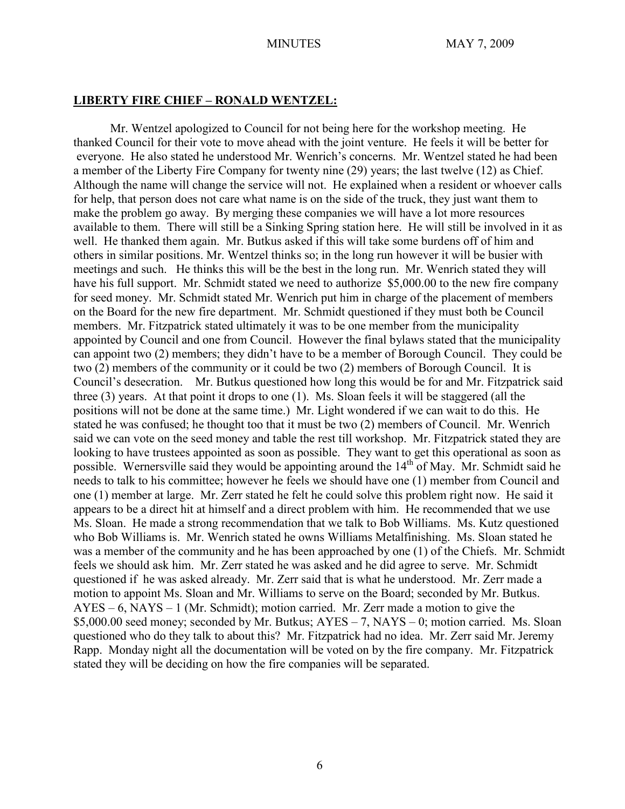#### **LIBERTY FIRE CHIEF – RONALD WENTZEL:**

Mr. Wentzel apologized to Council for not being here for the workshop meeting. He thanked Council for their vote to move ahead with the joint venture. He feels it will be better for everyone. He also stated he understood Mr. Wenrich's concerns. Mr. Wentzel stated he had been a member of the Liberty Fire Company for twenty nine (29) years; the last twelve (12) as Chief. Although the name will change the service will not. He explained when a resident or whoever calls for help, that person does not care what name is on the side of the truck, they just want them to make the problem go away. By merging these companies we will have a lot more resources available to them. There will still be a Sinking Spring station here. He will still be involved in it as well. He thanked them again. Mr. Butkus asked if this will take some burdens off of him and others in similar positions. Mr. Wentzel thinks so; in the long run however it will be busier with meetings and such. He thinks this will be the best in the long run. Mr. Wenrich stated they will have his full support. Mr. Schmidt stated we need to authorize \$5,000.00 to the new fire company for seed money. Mr. Schmidt stated Mr. Wenrich put him in charge of the placement of members on the Board for the new fire department. Mr. Schmidt questioned if they must both be Council members. Mr. Fitzpatrick stated ultimately it was to be one member from the municipality appointed by Council and one from Council. However the final bylaws stated that the municipality can appoint two (2) members; they didn't have to be a member of Borough Council. They could be two (2) members of the community or it could be two (2) members of Borough Council. It is Council's desecration. Mr. Butkus questioned how long this would be for and Mr. Fitzpatrick said three (3) years. At that point it drops to one (1). Ms. Sloan feels it will be staggered (all the positions will not be done at the same time.) Mr. Light wondered if we can wait to do this. He stated he was confused; he thought too that it must be two (2) members of Council. Mr. Wenrich said we can vote on the seed money and table the rest till workshop. Mr. Fitzpatrick stated they are looking to have trustees appointed as soon as possible. They want to get this operational as soon as possible. Wernersville said they would be appointing around the  $14<sup>th</sup>$  of May. Mr. Schmidt said he needs to talk to his committee; however he feels we should have one (1) member from Council and one (1) member at large. Mr. Zerr stated he felt he could solve this problem right now. He said it appears to be a direct hit at himself and a direct problem with him. He recommended that we use Ms. Sloan. He made a strong recommendation that we talk to Bob Williams. Ms. Kutz questioned who Bob Williams is. Mr. Wenrich stated he owns Williams Metalfinishing. Ms. Sloan stated he was a member of the community and he has been approached by one (1) of the Chiefs. Mr. Schmidt feels we should ask him. Mr. Zerr stated he was asked and he did agree to serve. Mr. Schmidt questioned if he was asked already. Mr. Zerr said that is what he understood. Mr. Zerr made a motion to appoint Ms. Sloan and Mr. Williams to serve on the Board; seconded by Mr. Butkus. AYES – 6, NAYS – 1 (Mr. Schmidt); motion carried. Mr. Zerr made a motion to give the \$5,000.00 seed money; seconded by Mr. Butkus; AYES – 7, NAYS – 0; motion carried. Ms. Sloan questioned who do they talk to about this? Mr. Fitzpatrick had no idea. Mr. Zerr said Mr. Jeremy Rapp. Monday night all the documentation will be voted on by the fire company. Mr. Fitzpatrick stated they will be deciding on how the fire companies will be separated.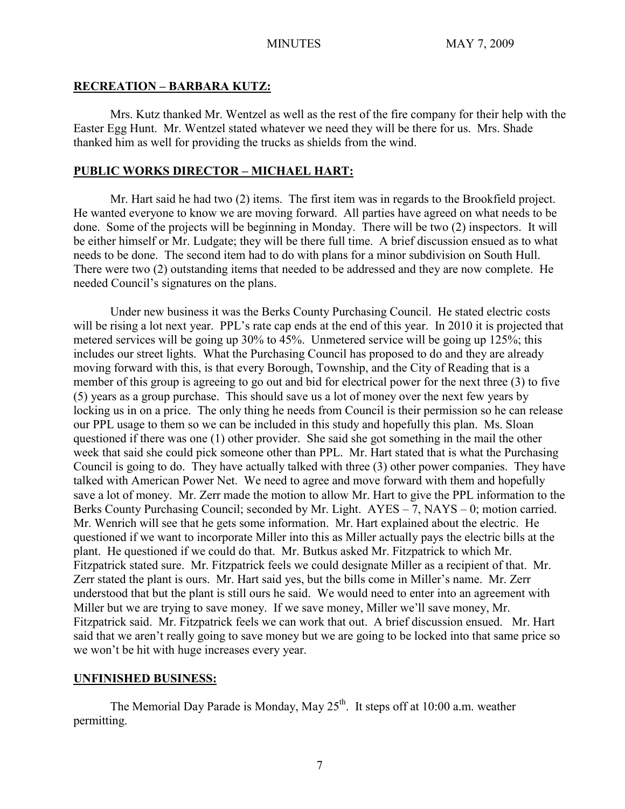# **RECREATION – BARBARA KUTZ:**

Mrs. Kutz thanked Mr. Wentzel as well as the rest of the fire company for their help with the Easter Egg Hunt. Mr. Wentzel stated whatever we need they will be there for us. Mrs. Shade thanked him as well for providing the trucks as shields from the wind.

# **PUBLIC WORKS DIRECTOR – MICHAEL HART:**

Mr. Hart said he had two (2) items. The first item was in regards to the Brookfield project. He wanted everyone to know we are moving forward. All parties have agreed on what needs to be done. Some of the projects will be beginning in Monday. There will be two (2) inspectors. It will be either himself or Mr. Ludgate; they will be there full time. A brief discussion ensued as to what needs to be done. The second item had to do with plans for a minor subdivision on South Hull. There were two (2) outstanding items that needed to be addressed and they are now complete. He needed Council's signatures on the plans.

Under new business it was the Berks County Purchasing Council. He stated electric costs will be rising a lot next year. PPL's rate cap ends at the end of this year. In 2010 it is projected that metered services will be going up 30% to 45%. Unmetered service will be going up 125%; this includes our street lights. What the Purchasing Council has proposed to do and they are already moving forward with this, is that every Borough, Township, and the City of Reading that is a member of this group is agreeing to go out and bid for electrical power for the next three (3) to five (5) years as a group purchase. This should save us a lot of money over the next few years by locking us in on a price. The only thing he needs from Council is their permission so he can release our PPL usage to them so we can be included in this study and hopefully this plan. Ms. Sloan questioned if there was one (1) other provider. She said she got something in the mail the other week that said she could pick someone other than PPL. Mr. Hart stated that is what the Purchasing Council is going to do. They have actually talked with three (3) other power companies. They have talked with American Power Net. We need to agree and move forward with them and hopefully save a lot of money. Mr. Zerr made the motion to allow Mr. Hart to give the PPL information to the Berks County Purchasing Council; seconded by Mr. Light. AYES – 7, NAYS – 0; motion carried. Mr. Wenrich will see that he gets some information. Mr. Hart explained about the electric. He questioned if we want to incorporate Miller into this as Miller actually pays the electric bills at the plant. He questioned if we could do that. Mr. Butkus asked Mr. Fitzpatrick to which Mr. Fitzpatrick stated sure. Mr. Fitzpatrick feels we could designate Miller as a recipient of that. Mr. Zerr stated the plant is ours. Mr. Hart said yes, but the bills come in Miller's name. Mr. Zerr understood that but the plant is still ours he said. We would need to enter into an agreement with Miller but we are trying to save money. If we save money, Miller we'll save money, Mr. Fitzpatrick said. Mr. Fitzpatrick feels we can work that out. A brief discussion ensued. Mr. Hart said that we aren't really going to save money but we are going to be locked into that same price so we won't be hit with huge increases every year.

# **UNFINISHED BUSINESS:**

The Memorial Day Parade is Monday, May  $25<sup>th</sup>$ . It steps off at 10:00 a.m. weather permitting.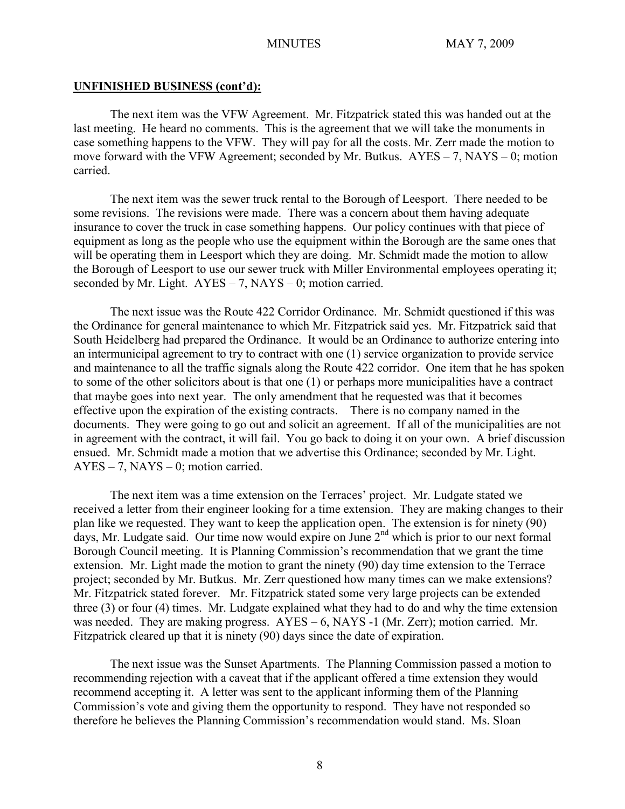#### **UNFINISHED BUSINESS (cont'd):**

The next item was the VFW Agreement. Mr. Fitzpatrick stated this was handed out at the last meeting. He heard no comments. This is the agreement that we will take the monuments in case something happens to the VFW. They will pay for all the costs. Mr. Zerr made the motion to move forward with the VFW Agreement; seconded by Mr. Butkus. AYES – 7, NAYS – 0; motion carried.

The next item was the sewer truck rental to the Borough of Leesport. There needed to be some revisions. The revisions were made. There was a concern about them having adequate insurance to cover the truck in case something happens. Our policy continues with that piece of equipment as long as the people who use the equipment within the Borough are the same ones that will be operating them in Leesport which they are doing. Mr. Schmidt made the motion to allow the Borough of Leesport to use our sewer truck with Miller Environmental employees operating it; seconded by Mr. Light.  $AYES - 7$ ,  $NAYS - 0$ ; motion carried.

The next issue was the Route 422 Corridor Ordinance. Mr. Schmidt questioned if this was the Ordinance for general maintenance to which Mr. Fitzpatrick said yes. Mr. Fitzpatrick said that South Heidelberg had prepared the Ordinance. It would be an Ordinance to authorize entering into an intermunicipal agreement to try to contract with one (1) service organization to provide service and maintenance to all the traffic signals along the Route 422 corridor. One item that he has spoken to some of the other solicitors about is that one (1) or perhaps more municipalities have a contract that maybe goes into next year. The only amendment that he requested was that it becomes effective upon the expiration of the existing contracts. There is no company named in the documents. They were going to go out and solicit an agreement. If all of the municipalities are not in agreement with the contract, it will fail. You go back to doing it on your own. A brief discussion ensued. Mr. Schmidt made a motion that we advertise this Ordinance; seconded by Mr. Light.  $AYES - 7$ ,  $NAYS - 0$ ; motion carried.

The next item was a time extension on the Terraces' project. Mr. Ludgate stated we received a letter from their engineer looking for a time extension. They are making changes to their plan like we requested. They want to keep the application open. The extension is for ninety (90) days, Mr. Ludgate said. Our time now would expire on June 2<sup>nd</sup> which is prior to our next formal Borough Council meeting. It is Planning Commission's recommendation that we grant the time extension. Mr. Light made the motion to grant the ninety (90) day time extension to the Terrace project; seconded by Mr. Butkus. Mr. Zerr questioned how many times can we make extensions? Mr. Fitzpatrick stated forever. Mr. Fitzpatrick stated some very large projects can be extended three (3) or four (4) times. Mr. Ludgate explained what they had to do and why the time extension was needed. They are making progress. AYES – 6, NAYS -1 (Mr. Zerr); motion carried. Mr. Fitzpatrick cleared up that it is ninety (90) days since the date of expiration.

The next issue was the Sunset Apartments. The Planning Commission passed a motion to recommending rejection with a caveat that if the applicant offered a time extension they would recommend accepting it. A letter was sent to the applicant informing them of the Planning Commission's vote and giving them the opportunity to respond. They have not responded so therefore he believes the Planning Commission's recommendation would stand. Ms. Sloan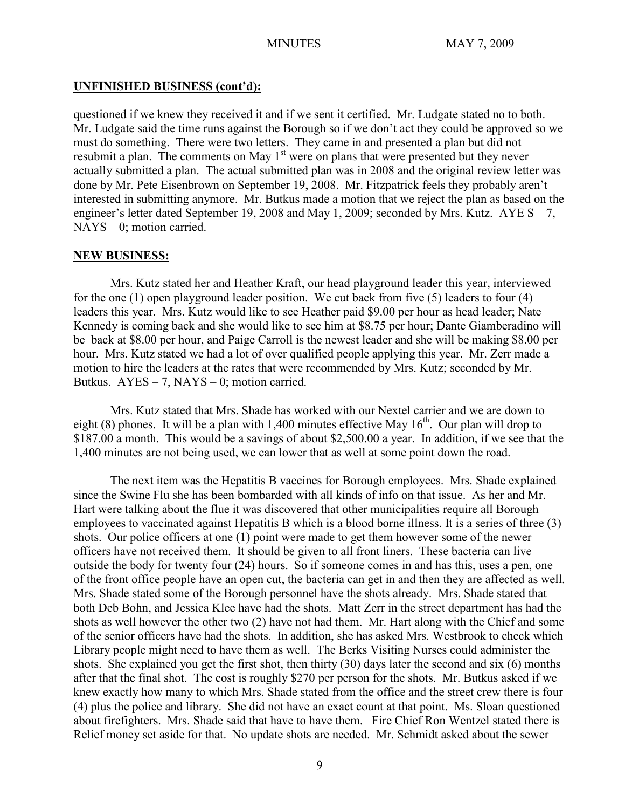# **UNFINISHED BUSINESS (cont'd):**

questioned if we knew they received it and if we sent it certified. Mr. Ludgate stated no to both. Mr. Ludgate said the time runs against the Borough so if we don't act they could be approved so we must do something. There were two letters. They came in and presented a plan but did not resubmit a plan. The comments on May 1<sup>st</sup> were on plans that were presented but they never actually submitted a plan. The actual submitted plan was in 2008 and the original review letter was done by Mr. Pete Eisenbrown on September 19, 2008. Mr. Fitzpatrick feels they probably aren't interested in submitting anymore. Mr. Butkus made a motion that we reject the plan as based on the engineer's letter dated September 19, 2008 and May 1, 2009; seconded by Mrs. Kutz.  $AYE S - 7$ , NAYS – 0; motion carried.

# **NEW BUSINESS:**

Mrs. Kutz stated her and Heather Kraft, our head playground leader this year, interviewed for the one (1) open playground leader position. We cut back from five (5) leaders to four (4) leaders this year. Mrs. Kutz would like to see Heather paid \$9.00 per hour as head leader; Nate Kennedy is coming back and she would like to see him at \$8.75 per hour; Dante Giamberadino will be back at \$8.00 per hour, and Paige Carroll is the newest leader and she will be making \$8.00 per hour. Mrs. Kutz stated we had a lot of over qualified people applying this year. Mr. Zerr made a motion to hire the leaders at the rates that were recommended by Mrs. Kutz; seconded by Mr. Butkus.  $AYES - 7$ ,  $NAYS - 0$ ; motion carried.

Mrs. Kutz stated that Mrs. Shade has worked with our Nextel carrier and we are down to eight (8) phones. It will be a plan with 1,400 minutes effective May  $16<sup>th</sup>$ . Our plan will drop to \$187.00 a month. This would be a savings of about \$2,500.00 a year. In addition, if we see that the 1,400 minutes are not being used, we can lower that as well at some point down the road.

The next item was the Hepatitis B vaccines for Borough employees. Mrs. Shade explained since the Swine Flu she has been bombarded with all kinds of info on that issue. As her and Mr. Hart were talking about the flue it was discovered that other municipalities require all Borough employees to vaccinated against Hepatitis B which is a blood borne illness. It is a series of three (3) shots. Our police officers at one (1) point were made to get them however some of the newer officers have not received them. It should be given to all front liners. These bacteria can live outside the body for twenty four (24) hours. So if someone comes in and has this, uses a pen, one of the front office people have an open cut, the bacteria can get in and then they are affected as well. Mrs. Shade stated some of the Borough personnel have the shots already. Mrs. Shade stated that both Deb Bohn, and Jessica Klee have had the shots. Matt Zerr in the street department has had the shots as well however the other two (2) have not had them. Mr. Hart along with the Chief and some of the senior officers have had the shots. In addition, she has asked Mrs. Westbrook to check which Library people might need to have them as well. The Berks Visiting Nurses could administer the shots. She explained you get the first shot, then thirty (30) days later the second and six (6) months after that the final shot. The cost is roughly \$270 per person for the shots. Mr. Butkus asked if we knew exactly how many to which Mrs. Shade stated from the office and the street crew there is four (4) plus the police and library. She did not have an exact count at that point. Ms. Sloan questioned about firefighters. Mrs. Shade said that have to have them. Fire Chief Ron Wentzel stated there is Relief money set aside for that. No update shots are needed. Mr. Schmidt asked about the sewer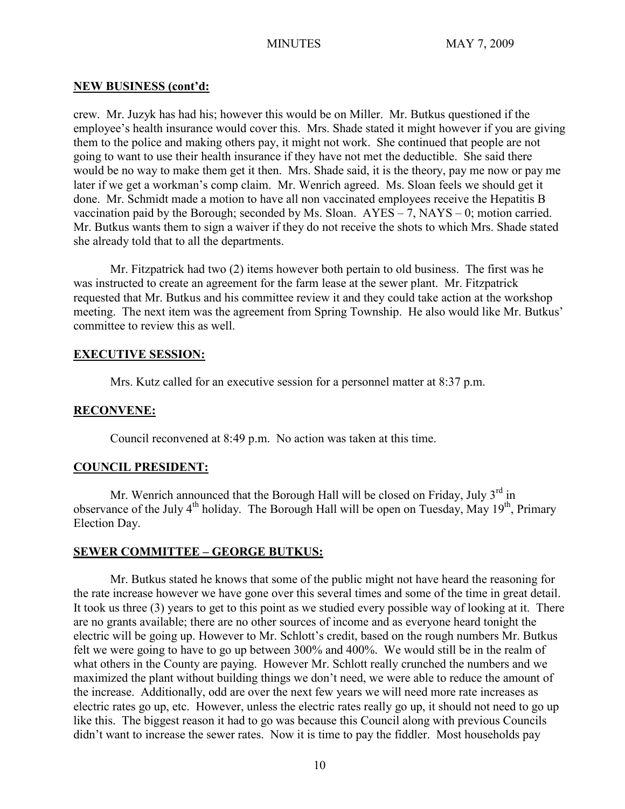#### **NEW BUSINESS (cont'd:**

crew. Mr. Juzyk has had his; however this would be on Miller. Mr. Butkus questioned if the employee's health insurance would cover this. Mrs. Shade stated it might however if you are giving them to the police and making others pay, it might not work. She continued that people are not going to want to use their health insurance if they have not met the deductible. She said there would be no way to make them get it then. Mrs. Shade said, it is the theory, pay me now or pay me later if we get a workman's comp claim. Mr. Wenrich agreed. Ms. Sloan feels we should get it done. Mr. Schmidt made a motion to have all non vaccinated employees receive the Hepatitis B vaccination paid by the Borough; seconded by Ms. Sloan.  $AYES - 7$ ,  $NAYS - 0$ ; motion carried. Mr. Butkus wants them to sign a waiver if they do not receive the shots to which Mrs. Shade stated she already told that to all the departments.

Mr. Fitzpatrick had two (2) items however both pertain to old business. The first was he was instructed to create an agreement for the farm lease at the sewer plant. Mr. Fitzpatrick requested that Mr. Butkus and his committee review it and they could take action at the workshop meeting. The next item was the agreement from Spring Township. He also would like Mr. Butkus' committee to review this as well.

# **EXECUTIVE SESSION:**

Mrs. Kutz called for an executive session for a personnel matter at 8:37 p.m.

#### **RECONVENE:**

Council reconvened at 8:49 p.m. No action was taken at this time.

# **COUNCIL PRESIDENT:**

Mr. Wenrich announced that the Borough Hall will be closed on Friday, July  $3<sup>rd</sup>$  in observance of the July  $4^{th}$  holiday. The Borough Hall will be open on Tuesday, May  $19^{th}$ , Primary Election Day.

# **SEWER COMMITTEE – GEORGE BUTKUS:**

Mr. Butkus stated he knows that some of the public might not have heard the reasoning for the rate increase however we have gone over this several times and some of the time in great detail. It took us three (3) years to get to this point as we studied every possible way of looking at it. There are no grants available; there are no other sources of income and as everyone heard tonight the electric will be going up. However to Mr. Schlott's credit, based on the rough numbers Mr. Butkus felt we were going to have to go up between 300% and 400%. We would still be in the realm of what others in the County are paying. However Mr. Schlott really crunched the numbers and we maximized the plant without building things we don't need, we were able to reduce the amount of the increase. Additionally, odd are over the next few years we will need more rate increases as electric rates go up, etc. However, unless the electric rates really go up, it should not need to go up like this. The biggest reason it had to go was because this Council along with previous Councils didn't want to increase the sewer rates. Now it is time to pay the fiddler. Most households pay